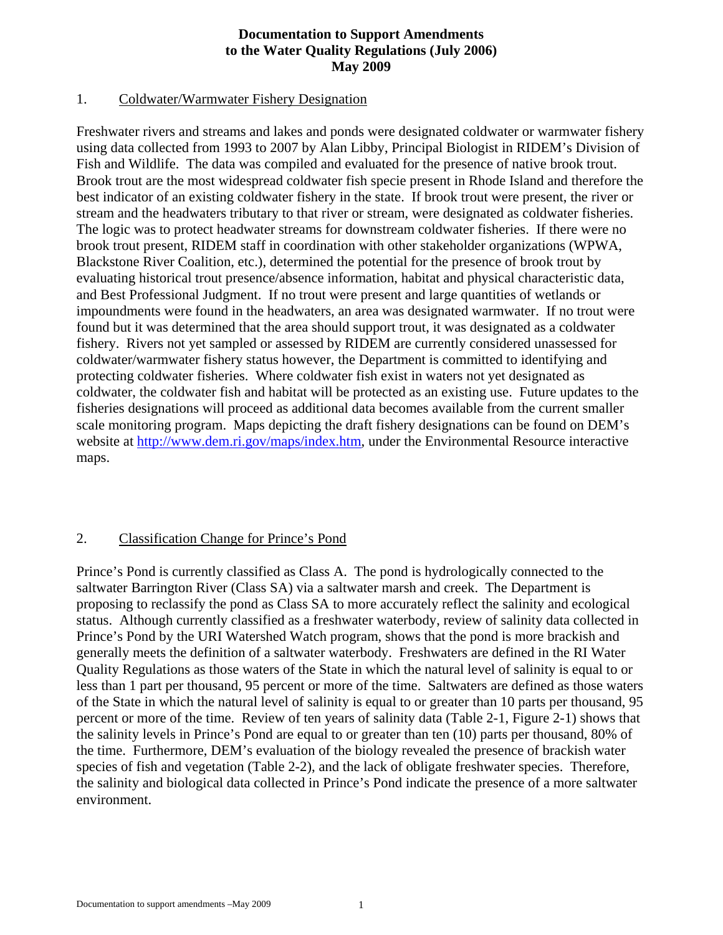# **Documentation to Support Amendments to the Water Quality Regulations (July 2006) May 2009**

## 1. Coldwater/Warmwater Fishery Designation

Freshwater rivers and streams and lakes and ponds were designated coldwater or warmwater fishery using data collected from 1993 to 2007 by Alan Libby, Principal Biologist in RIDEM's Division of Fish and Wildlife. The data was compiled and evaluated for the presence of native brook trout. Brook trout are the most widespread coldwater fish specie present in Rhode Island and therefore the best indicator of an existing coldwater fishery in the state. If brook trout were present, the river or stream and the headwaters tributary to that river or stream, were designated as coldwater fisheries. The logic was to protect headwater streams for downstream coldwater fisheries. If there were no brook trout present, RIDEM staff in coordination with other stakeholder organizations (WPWA, Blackstone River Coalition, etc.), determined the potential for the presence of brook trout by evaluating historical trout presence/absence information, habitat and physical characteristic data, and Best Professional Judgment. If no trout were present and large quantities of wetlands or impoundments were found in the headwaters, an area was designated warmwater. If no trout were found but it was determined that the area should support trout, it was designated as a coldwater fishery. Rivers not yet sampled or assessed by RIDEM are currently considered unassessed for coldwater/warmwater fishery status however, the Department is committed to identifying and protecting coldwater fisheries. Where coldwater fish exist in waters not yet designated as coldwater, the coldwater fish and habitat will be protected as an existing use. Future updates to the fisheries designations will proceed as additional data becomes available from the current smaller scale monitoring program. Maps depicting the draft fishery designations can be found on DEM's website at<http://www.dem.ri.gov/maps/index.htm>, under the Environmental Resource interactive maps.

# 2. Classification Change for Prince's Pond

Prince's Pond is currently classified as Class A. The pond is hydrologically connected to the saltwater Barrington River (Class SA) via a saltwater marsh and creek. The Department is proposing to reclassify the pond as Class SA to more accurately reflect the salinity and ecological status. Although currently classified as a freshwater waterbody, review of salinity data collected in Prince's Pond by the URI Watershed Watch program, shows that the pond is more brackish and generally meets the definition of a saltwater waterbody. Freshwaters are defined in the RI Water Quality Regulations as those waters of the State in which the natural level of salinity is equal to or less than 1 part per thousand, 95 percent or more of the time. Saltwaters are defined as those waters of the State in which the natural level of salinity is equal to or greater than 10 parts per thousand, 95 percent or more of the time. Review of ten years of salinity data (Table 2-1, Figure 2-1) shows that the salinity levels in Prince's Pond are equal to or greater than ten (10) parts per thousand, 80% of the time. Furthermore, DEM's evaluation of the biology revealed the presence of brackish water species of fish and vegetation (Table 2-2), and the lack of obligate freshwater species. Therefore, the salinity and biological data collected in Prince's Pond indicate the presence of a more saltwater environment.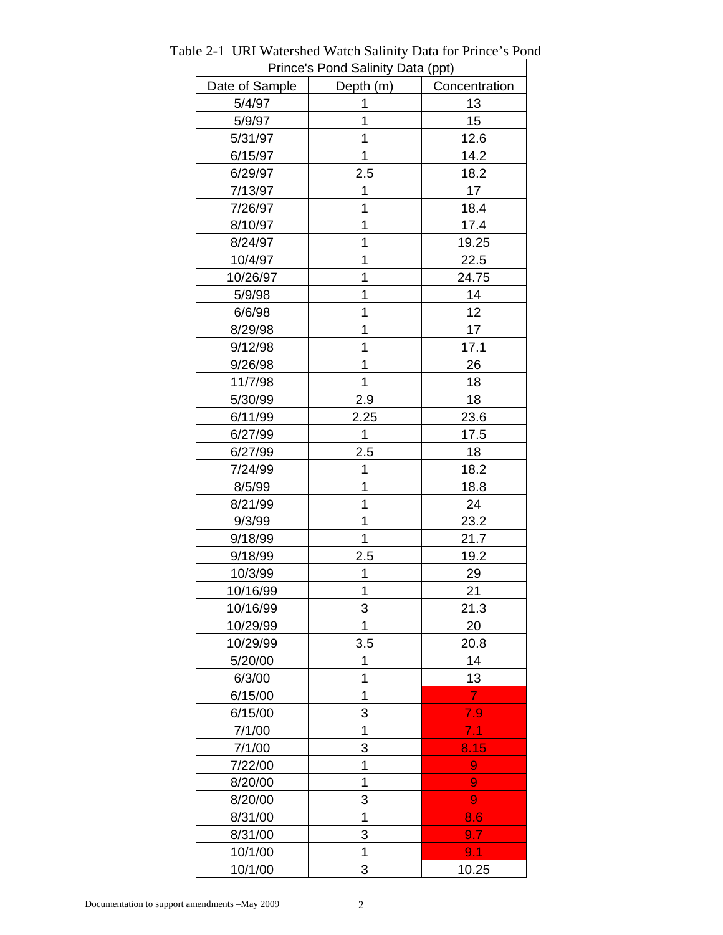| Prince's Pond Salinity Data (ppt) |             |                |  |  |  |  |
|-----------------------------------|-------------|----------------|--|--|--|--|
| Date of Sample                    | Depth (m)   | Concentration  |  |  |  |  |
| 5/4/97                            | 1           | 13             |  |  |  |  |
| 5/9/97                            | 1           | 15             |  |  |  |  |
| 5/31/97                           | 1           | 12.6           |  |  |  |  |
| 6/15/97                           | 1           | 14.2           |  |  |  |  |
| 6/29/97                           | 2.5         | 18.2           |  |  |  |  |
| 7/13/97                           | 1           | 17             |  |  |  |  |
| 7/26/97                           | 1           | 18.4           |  |  |  |  |
| 8/10/97                           | 1           | 17.4           |  |  |  |  |
| 8/24/97                           | 1           | 19.25          |  |  |  |  |
| 10/4/97                           | 1           | 22.5           |  |  |  |  |
| 10/26/97                          | 1           | 24.75          |  |  |  |  |
| 5/9/98                            | 1           | 14             |  |  |  |  |
| 6/6/98                            | 1           | 12             |  |  |  |  |
| 8/29/98                           | 1           | 17             |  |  |  |  |
| 9/12/98                           | 1           | 17.1           |  |  |  |  |
| 9/26/98                           | 1           | 26             |  |  |  |  |
| 11/7/98                           | $\mathbf 1$ | 18             |  |  |  |  |
| 5/30/99                           | 2.9         | 18             |  |  |  |  |
| 6/11/99                           | 2.25        | 23.6           |  |  |  |  |
| 6/27/99                           | 1           | 17.5           |  |  |  |  |
| 6/27/99                           | 2.5         | 18             |  |  |  |  |
| 7/24/99                           | 1           | 18.2           |  |  |  |  |
| 8/5/99                            | 1           | 18.8           |  |  |  |  |
| 8/21/99                           | 1           | 24             |  |  |  |  |
| 9/3/99                            | 1           | 23.2           |  |  |  |  |
| 9/18/99                           | 1           | 21.7           |  |  |  |  |
| 9/18/99                           | 2.5         | 19.2           |  |  |  |  |
| 10/3/99                           | 1           | 29             |  |  |  |  |
| 10/16/99                          | 1           | 21             |  |  |  |  |
| 10/16/99                          | 3           | 21.3           |  |  |  |  |
| 10/29/99                          | 1           | 20             |  |  |  |  |
| 10/29/99                          | 3.5         | 20.8           |  |  |  |  |
| 5/20/00                           | 1           | 14             |  |  |  |  |
| 6/3/00                            | 1           | 13             |  |  |  |  |
| 6/15/00                           | 1           | $\overline{7}$ |  |  |  |  |
| 6/15/00                           | 3           | 7.9            |  |  |  |  |
| 7/1/00                            | 1           | 7.1            |  |  |  |  |
| 7/1/00                            | 3           | 8.15           |  |  |  |  |
| 7/22/00                           | 1           | 9              |  |  |  |  |
| 8/20/00                           | 1           | 9              |  |  |  |  |
| 8/20/00                           | 3           | 9              |  |  |  |  |
| 8/31/00                           | 1           | 8.6            |  |  |  |  |
| 8/31/00                           | 3           | 9.7            |  |  |  |  |
| 10/1/00                           | 1           | 9.1            |  |  |  |  |
| 10/1/00                           | 3           | 10.25          |  |  |  |  |

Table 2-1 URI Watershed Watch Salinity Data for Prince's Pond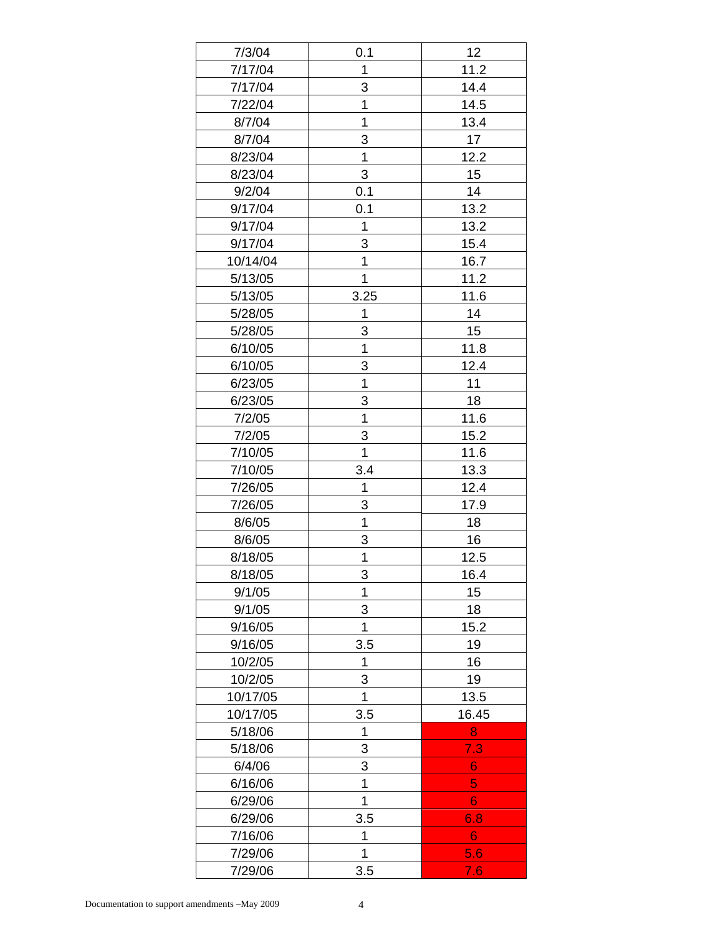| 7/3/04   | 0.1            | 12    |
|----------|----------------|-------|
| 7/17/04  | 1              | 11.2  |
| 7/17/04  | 3              | 14.4  |
| 7/22/04  | 1              | 14.5  |
| 8/7/04   | 1              | 13.4  |
| 8/7/04   | 3              | 17    |
| 8/23/04  | 1              | 12.2  |
| 8/23/04  | 3              | 15    |
| 9/2/04   | 0.1            | 14    |
| 9/17/04  | 0.1            | 13.2  |
| 9/17/04  | 1              | 13.2  |
| 9/17/04  | 3              | 15.4  |
| 10/14/04 | 1              | 16.7  |
| 5/13/05  | 1              | 11.2  |
| 5/13/05  | 3.25           | 11.6  |
| 5/28/05  | 1              | 14    |
| 5/28/05  | 3              | 15    |
| 6/10/05  | 1              | 11.8  |
| 6/10/05  | 3              | 12.4  |
| 6/23/05  | 1              | 11    |
| 6/23/05  | 3              | 18    |
| 7/2/05   | $\overline{1}$ | 11.6  |
| 7/2/05   | 3              | 15.2  |
| 7/10/05  | $\overline{1}$ | 11.6  |
| 7/10/05  | 3.4            | 13.3  |
| 7/26/05  | 1              | 12.4  |
| 7/26/05  | 3              | 17.9  |
| 8/6/05   | 1              | 18    |
| 8/6/05   | 3              | 16    |
| 8/18/05  | 1              | 12.5  |
| 8/18/05  | 3              | 16.4  |
| 9/1/05   | 1              | 15    |
| 9/1/05   | 3              | 18    |
| 9/16/05  | $\mathbf 1$    | 15.2  |
| 9/16/05  | 3.5            | 19    |
| 10/2/05  | 1              | 16    |
| 10/2/05  | 3              | 19    |
| 10/17/05 | 1              | 13.5  |
| 10/17/05 | 3.5            | 16.45 |
| 5/18/06  | 1              | 8     |
| 5/18/06  | 3              | 7.3   |
| 6/4/06   | 3              | 6     |
| 6/16/06  | $\mathbf 1$    | 5     |
| 6/29/06  | 1              | 6     |
| 6/29/06  | 3.5            | 6.8   |
| 7/16/06  | 1<br>6         |       |
| 7/29/06  | 1              | 5.6   |
| 7/29/06  | 3.5            | 7.6   |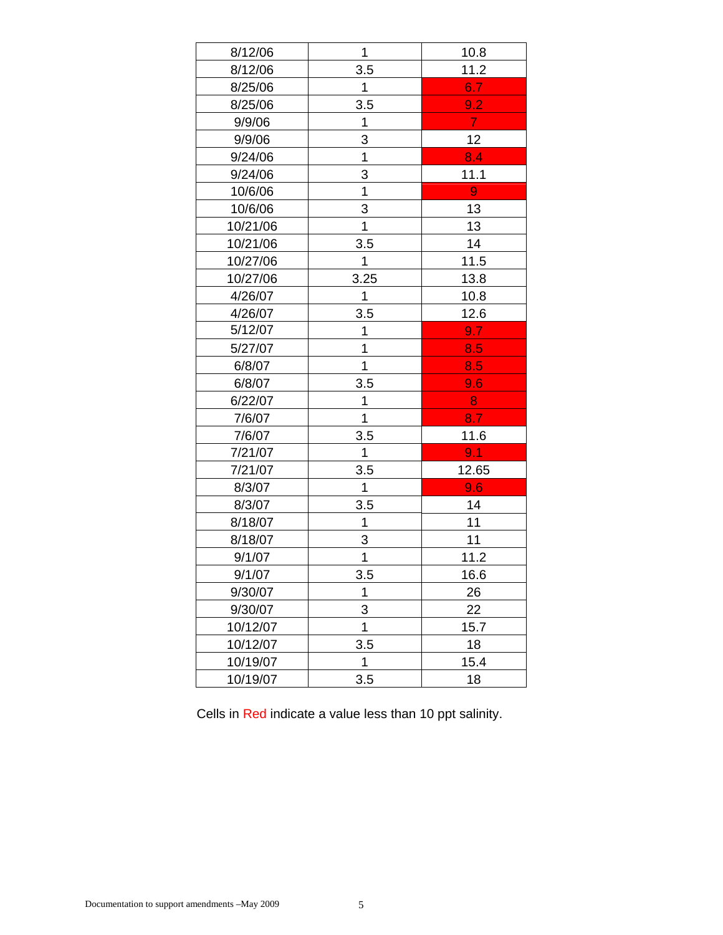| 8/12/06  | 1    | 10.8             |
|----------|------|------------------|
| 8/12/06  | 3.5  | 11.2             |
| 8/25/06  | 1    | 6.7              |
| 8/25/06  | 3.5  | 9.2              |
| 9/9/06   | 1    | $\overline{7}$   |
| 9/9/06   | 3    | 12               |
| 9/24/06  | 1    | 8.4              |
| 9/24/06  | 3    | 11.1             |
| 10/6/06  | 1    | $\boldsymbol{9}$ |
| 10/6/06  | 3    | 13               |
| 10/21/06 | 1    | 13               |
| 10/21/06 | 3.5  | 14               |
| 10/27/06 | 1    | 11.5             |
| 10/27/06 | 3.25 | 13.8             |
| 4/26/07  | 1    | 10.8             |
| 4/26/07  | 3.5  | 12.6             |
| 5/12/07  | 1    | 9.7              |
| 5/27/07  | 1    | 8.5              |
| 6/8/07   | 1    | 8.5              |
| 6/8/07   | 3.5  | 9.6              |
| 6/22/07  | 1    | 8                |
| 7/6/07   | 1    | 8.7              |
| 7/6/07   | 3.5  | 11.6             |
| 7/21/07  | 1    | 9.1              |
| 7/21/07  | 3.5  | 12.65            |
| 8/3/07   | 1    | 9.6              |
| 8/3/07   | 3.5  | 14               |
| 8/18/07  | 1    | 11               |
| 8/18/07  | 3    | 11               |
| 9/1/07   | 1    | 11.2             |
| 9/1/07   | 3.5  | 16.6             |
| 9/30/07  | 1    | 26               |
| 9/30/07  | 3    | 22               |
| 10/12/07 | 1    | 15.7             |
| 10/12/07 | 3.5  | 18               |
| 10/19/07 | 1    | 15.4             |
| 10/19/07 | 3.5  | 18               |

Cells in Red indicate a value less than 10 ppt salinity.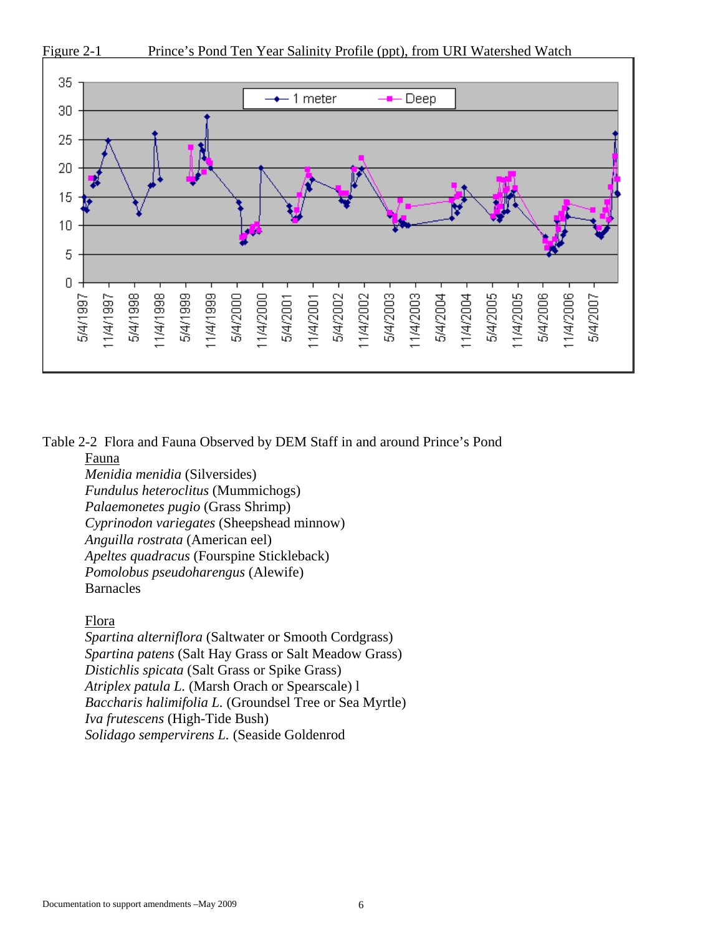

Table 2-2 Flora and Fauna Observed by DEM Staff in and around Prince's Pond

### Fauna

*Menidia menidia* (Silversides) *Fundulus heteroclitus* (Mummichogs) *Palaemonetes pugio* (Grass Shrimp) *Cyprinodon variegates* (Sheepshead minnow) *Anguilla rostrata* (American eel) *Apeltes quadracus* (Fourspine Stickleback) *Pomolobus pseudoharengus* (Alewife) Barnacles

# Flora

*Spartina alterniflora* (Saltwater or Smooth Cordgrass) *Spartina patens* (Salt Hay Grass or Salt Meadow Grass) *Distichlis spicata* (Salt Grass or Spike Grass) *Atriplex patula L.* (Marsh Orach or Spearscale) l *Baccharis halimifolia L.* (Groundsel Tree or Sea Myrtle) *Iva frutescens* (High-Tide Bush) *Solidago sempervirens L.* (Seaside Goldenrod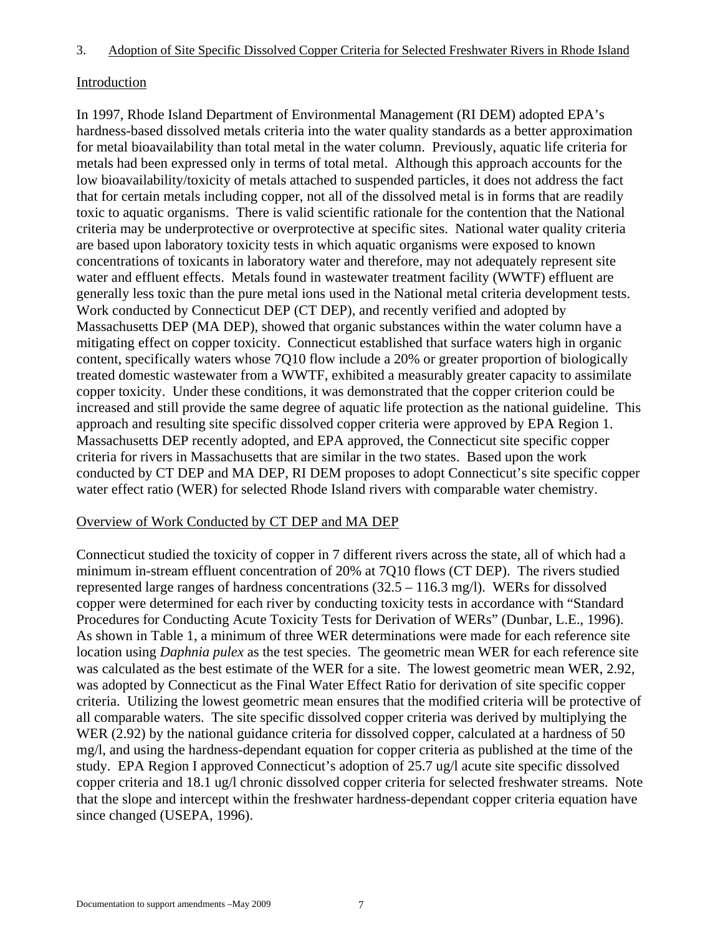# **Introduction**

In 1997, Rhode Island Department of Environmental Management (RI DEM) adopted EPA's hardness-based dissolved metals criteria into the water quality standards as a better approximation for metal bioavailability than total metal in the water column. Previously, aquatic life criteria for metals had been expressed only in terms of total metal. Although this approach accounts for the low bioavailability/toxicity of metals attached to suspended particles, it does not address the fact that for certain metals including copper, not all of the dissolved metal is in forms that are readily toxic to aquatic organisms. There is valid scientific rationale for the contention that the National criteria may be underprotective or overprotective at specific sites. National water quality criteria are based upon laboratory toxicity tests in which aquatic organisms were exposed to known concentrations of toxicants in laboratory water and therefore, may not adequately represent site water and effluent effects. Metals found in wastewater treatment facility (WWTF) effluent are generally less toxic than the pure metal ions used in the National metal criteria development tests. Work conducted by Connecticut DEP (CT DEP), and recently verified and adopted by Massachusetts DEP (MA DEP), showed that organic substances within the water column have a mitigating effect on copper toxicity. Connecticut established that surface waters high in organic content, specifically waters whose 7Q10 flow include a 20% or greater proportion of biologically treated domestic wastewater from a WWTF, exhibited a measurably greater capacity to assimilate copper toxicity. Under these conditions, it was demonstrated that the copper criterion could be increased and still provide the same degree of aquatic life protection as the national guideline. This approach and resulting site specific dissolved copper criteria were approved by EPA Region 1. Massachusetts DEP recently adopted, and EPA approved, the Connecticut site specific copper criteria for rivers in Massachusetts that are similar in the two states. Based upon the work conducted by CT DEP and MA DEP, RI DEM proposes to adopt Connecticut's site specific copper water effect ratio (WER) for selected Rhode Island rivers with comparable water chemistry.

# Overview of Work Conducted by CT DEP and MA DEP

Connecticut studied the toxicity of copper in 7 different rivers across the state, all of which had a minimum in-stream effluent concentration of 20% at 7Q10 flows (CT DEP). The rivers studied represented large ranges of hardness concentrations (32.5 – 116.3 mg/l). WERs for dissolved copper were determined for each river by conducting toxicity tests in accordance with "Standard Procedures for Conducting Acute Toxicity Tests for Derivation of WERs" (Dunbar, L.E., 1996). As shown in Table 1, a minimum of three WER determinations were made for each reference site location using *Daphnia pulex* as the test species. The geometric mean WER for each reference site was calculated as the best estimate of the WER for a site. The lowest geometric mean WER, 2.92, was adopted by Connecticut as the Final Water Effect Ratio for derivation of site specific copper criteria. Utilizing the lowest geometric mean ensures that the modified criteria will be protective of all comparable waters. The site specific dissolved copper criteria was derived by multiplying the WER (2.92) by the national guidance criteria for dissolved copper, calculated at a hardness of 50 mg/l, and using the hardness-dependant equation for copper criteria as published at the time of the study. EPA Region I approved Connecticut's adoption of 25.7 ug/l acute site specific dissolved copper criteria and 18.1 ug/l chronic dissolved copper criteria for selected freshwater streams. Note that the slope and intercept within the freshwater hardness-dependant copper criteria equation have since changed (USEPA, 1996).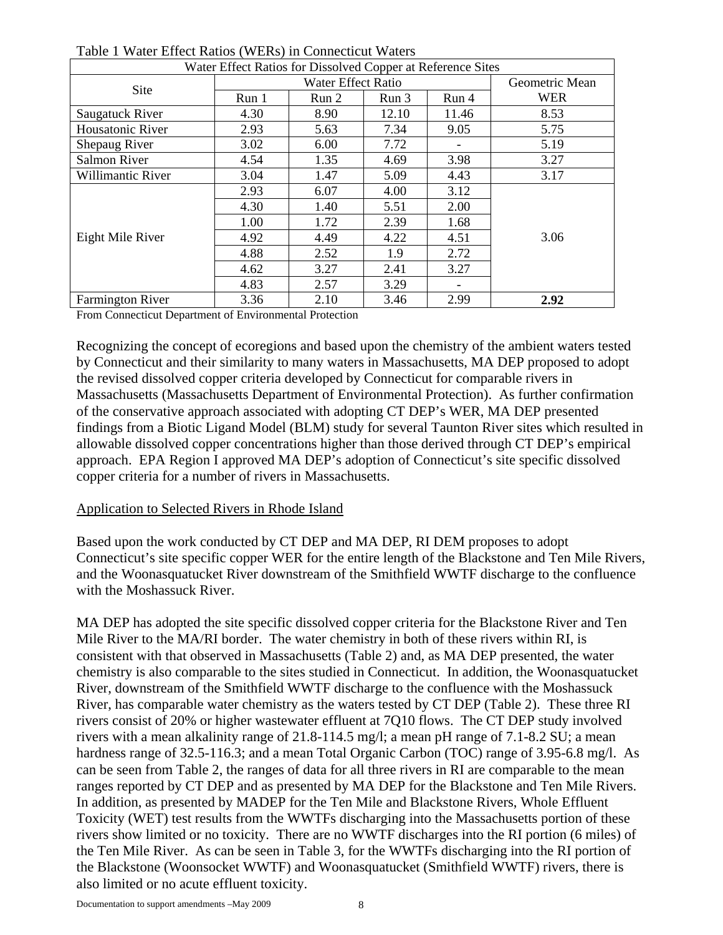| Water Effect Ratios for Dissolved Copper at Reference Sites |       |                |       |       |            |  |  |
|-------------------------------------------------------------|-------|----------------|-------|-------|------------|--|--|
| Site                                                        |       | Geometric Mean |       |       |            |  |  |
|                                                             | Run 1 | Run 2<br>Run 3 |       | Run 4 | <b>WER</b> |  |  |
| Saugatuck River                                             | 4.30  | 8.90           | 12.10 | 11.46 | 8.53       |  |  |
| Housatonic River                                            | 2.93  | 5.63           | 7.34  | 9.05  | 5.75       |  |  |
| Shepaug River                                               | 3.02  | 6.00           | 7.72  |       | 5.19       |  |  |
| Salmon River                                                | 4.54  | 1.35           | 4.69  | 3.98  | 3.27       |  |  |
| Willimantic River                                           | 3.04  | 1.47           | 5.09  | 4.43  | 3.17       |  |  |
| Eight Mile River                                            | 2.93  | 6.07           | 4.00  | 3.12  |            |  |  |
|                                                             | 4.30  | 1.40           | 5.51  | 2.00  |            |  |  |
|                                                             | 1.00  | 1.72           | 2.39  | 1.68  |            |  |  |
|                                                             | 4.92  | 4.49           | 4.22  | 4.51  | 3.06       |  |  |
|                                                             | 4.88  | 2.52           | 1.9   | 2.72  |            |  |  |
|                                                             | 4.62  | 3.27           | 2.41  | 3.27  |            |  |  |
|                                                             | 4.83  | 2.57           | 3.29  |       |            |  |  |
| <b>Farmington River</b>                                     | 3.36  | 2.10           | 3.46  | 2.99  | 2.92       |  |  |

| Table 1 Water Effect Ratios (WERs) in Connecticut Waters |
|----------------------------------------------------------|
|----------------------------------------------------------|

From Connecticut Department of Environmental Protection

Recognizing the concept of ecoregions and based upon the chemistry of the ambient waters tested by Connecticut and their similarity to many waters in Massachusetts, MA DEP proposed to adopt the revised dissolved copper criteria developed by Connecticut for comparable rivers in Massachusetts (Massachusetts Department of Environmental Protection). As further confirmation of the conservative approach associated with adopting CT DEP's WER, MA DEP presented findings from a Biotic Ligand Model (BLM) study for several Taunton River sites which resulted in allowable dissolved copper concentrations higher than those derived through CT DEP's empirical approach. EPA Region I approved MA DEP's adoption of Connecticut's site specific dissolved copper criteria for a number of rivers in Massachusetts.

# Application to Selected Rivers in Rhode Island

Based upon the work conducted by CT DEP and MA DEP, RI DEM proposes to adopt Connecticut's site specific copper WER for the entire length of the Blackstone and Ten Mile Rivers, and the Woonasquatucket River downstream of the Smithfield WWTF discharge to the confluence with the Moshassuck River.

MA DEP has adopted the site specific dissolved copper criteria for the Blackstone River and Ten Mile River to the MA/RI border. The water chemistry in both of these rivers within RI, is consistent with that observed in Massachusetts (Table 2) and, as MA DEP presented, the water chemistry is also comparable to the sites studied in Connecticut. In addition, the Woonasquatucket River, downstream of the Smithfield WWTF discharge to the confluence with the Moshassuck River, has comparable water chemistry as the waters tested by CT DEP (Table 2). These three RI rivers consist of 20% or higher wastewater effluent at 7Q10 flows. The CT DEP study involved rivers with a mean alkalinity range of 21.8-114.5 mg/l; a mean pH range of 7.1-8.2 SU; a mean hardness range of 32.5-116.3; and a mean Total Organic Carbon (TOC) range of 3.95-6.8 mg/l. As can be seen from Table 2, the ranges of data for all three rivers in RI are comparable to the mean ranges reported by CT DEP and as presented by MA DEP for the Blackstone and Ten Mile Rivers. In addition, as presented by MADEP for the Ten Mile and Blackstone Rivers, Whole Effluent Toxicity (WET) test results from the WWTFs discharging into the Massachusetts portion of these rivers show limited or no toxicity. There are no WWTF discharges into the RI portion (6 miles) of the Ten Mile River. As can be seen in Table 3, for the WWTFs discharging into the RI portion of the Blackstone (Woonsocket WWTF) and Woonasquatucket (Smithfield WWTF) rivers, there is also limited or no acute effluent toxicity.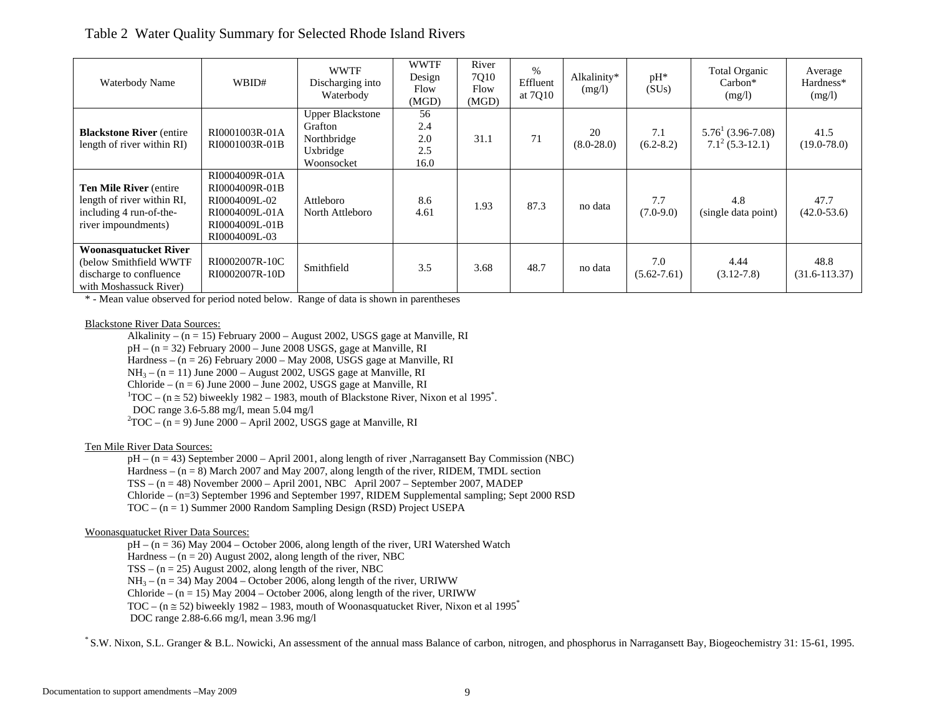# Table 2 Water Quality Summary for Selected Rhode Island Rivers

| Waterbody Name                                                                                                 | WBID#                                                                                                  | <b>WWTF</b><br>Discharging into<br>Waterbody                                | <b>WWTF</b><br>Design<br>Flow<br>(MGD) | River<br>7Q10<br>Flow<br>(MGD) | $\%$<br>Effluent<br>at 7010 | Alkalinity*<br>(mg/l) | pH*<br>(SUs)           | Total Organic<br>$Carbon*$<br>(mg/l)        | Average<br>Hardness*<br>(mg/l) |
|----------------------------------------------------------------------------------------------------------------|--------------------------------------------------------------------------------------------------------|-----------------------------------------------------------------------------|----------------------------------------|--------------------------------|-----------------------------|-----------------------|------------------------|---------------------------------------------|--------------------------------|
| <b>Blackstone River (entire)</b><br>length of river within RI)                                                 | RI0001003R-01A<br>RI0001003R-01B                                                                       | <b>Upper Blackstone</b><br>Grafton<br>Northbridge<br>Uxbridge<br>Woonsocket | 56<br>2.4<br>2.0<br>2.5<br>16.0        | 31.1                           | 71                          | 20<br>$(8.0 - 28.0)$  | 7.1<br>$(6.2 - 8.2)$   | $5.76^{1}(3.96-7.08)$<br>$7.1^2$ (5.3-12.1) | 41.5<br>$(19.0 - 78.0)$        |
| <b>Ten Mile River (entire)</b><br>length of river within RI,<br>including 4 run-of-the-<br>river impoundments) | RI0004009R-01A<br>RI0004009R-01B<br>RI0004009L-02<br>RI0004009L-01A<br>RI0004009L-01B<br>RI0004009L-03 | Attleboro<br>North Attleboro                                                | 8.6<br>4.61                            | 1.93                           | 87.3                        | no data               | 7.7<br>$(7.0-9.0)$     | 4.8<br>(single data point)                  | 47.7<br>$(42.0 - 53.6)$        |
| <b>Woonasquatucket River</b><br>(below Smithfield WWTF<br>discharge to confluence<br>with Moshassuck River)    | RI0002007R-10C<br>RI0002007R-10D                                                                       | Smithfield                                                                  | 3.5                                    | 3.68                           | 48.7                        | no data               | 7.0<br>$(5.62 - 7.61)$ | 4.44<br>$(3.12 - 7.8)$                      | 48.8<br>$(31.6 - 113.37)$      |

\* - Mean value observed for period noted below. Range of data is shown in parentheses

### Blackstone River Data Sources:

Alkalinity –  $(n = 15)$  February 2000 – August 2002, USGS gage at Manville, RI  $pH - (n = 32)$  February 2000 – June 2008 USGS, gage at Manville, RI Hardness –  $(n = 26)$  February 2000 – May 2008, USGS gage at Manville, RI  $NH_3 - (n = 11)$  June 2000 – August 2002, USGS gage at Manville, RI Chloride – (n = 6) June 2000 – June 2002, USGS gage at Manville, RI<br><sup>1</sup>TOC – (n ≅ 52) biweekly 1982 – 1983, mouth of Blackstone River, Nixon et al 1995<sup>\*</sup>. DOC range 3.6-5.88 mg/l, mean 5.04 mg/l<br> ${}^{2}TOC - (n = 9)$  June 2000 – April 2002, USGS gage at Manville, RI

### Ten Mile River Data Sources:

 pH – (n = 43) September 2000 – April 2001, along length of river ,Narragansett Bay Commission (NBC) Hardness –  $(n = 8)$  March 2007 and May 2007, along length of the river, RIDEM, TMDL section TSS – (n = 48) November 2000 – April 2001, NBC April 2007 – September 2007, MADEP Chloride – (n=3) September 1996 and September 1997, RIDEM Supplemental sampling; Sept 2000 RSD TOC – (n = 1) Summer 2000 Random Sampling Design (RSD) Project USEPA

### Woonasquatucket River Data Sources:

pH – (n = 36) May 2004 – October 2006, along length of the river, URI Watershed Watch

Hardness –  $(n = 20)$  August 2002, along length of the river, NBC

 $TSS - (n = 25)$  August 2002, along length of the river, NBC

 $NH_3 - (n = 34)$  May 2004 – October 2006, along length of the river, URIWW

Chloride –  $(n = 15)$  May 2004 – October 2006, along length of the river, URIWW

TOC – ( $n \approx 52$ ) biweekly 1982 – 1983, mouth of Woonasquatucket River, Nixon et al 1995<sup>\*</sup>

DOC range 2.88-6.66 mg/l, mean 3.96 mg/l

\* S.W. Nixon, S.L. Granger & B.L. Nowicki, An assessment of the annual mass Balance of carbon, nitrogen, and phosphorus in Narragansett Bay, Biogeochemistry 31: 15-61, 1995.